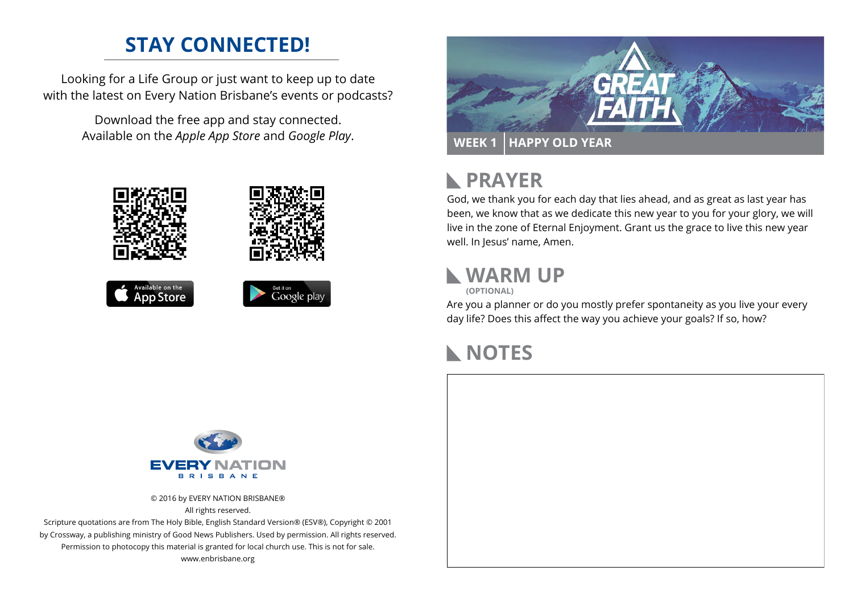# **STAY CONNECTED!**

Looking for a Life Group or just want to keep up to date with the latest on Every Nation Brisbane's events or podcasts?

> Download the free app and stay connected. Available on the *Apple App Store* and *Google Play*.





#### **PRAYER**  $\mathbb{R}$

God, we thank you for each day that lies ahead, and as great as last year has been, we know that as we dedicate this new year to you for your glory, we will live in the zone of Eternal Enjoyment. Grant us the grace to live this new year well. In Jesus' name, Amen.

### **WARM UP**



Are you a planner or do you mostly prefer spontaneity as you live your every day life? Does this affect the way you achieve your goals? If so, how?

# **NOTES**



© 2016 by EVERY NATION BRISBANE® All rights reserved.

Scripture quotations are from The Holy Bible, English Standard Version® (ESV®), Copyright © 2001 by Crossway, a publishing ministry of Good News Publishers. Used by permission. All rights reserved. Permission to photocopy this material is granted for local church use. This is not for sale. www.enbrisbane.org